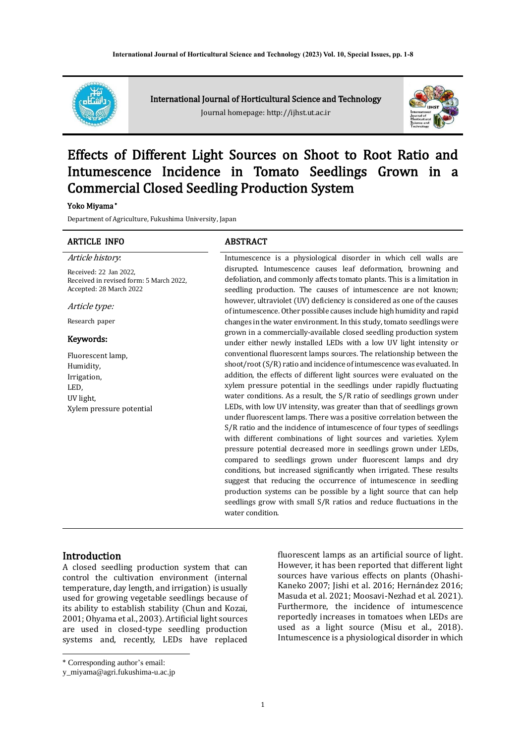

International Journal of Horticultural Science and Technology Journal homepage: http://ijhst.ut.ac.ir



# Effects of Different Light Sources on Shoot to Root Ratio and Intumescence Incidence in Tomato Seedlings Grown in a Commercial Closed Seedling Production System

#### Yoko Miyama \*

Department of Agriculture, Fukushima University, Japan

# ARTICLE INFO ABSTRACT Article history:

Received: 22 Jan 2022, Received in revised form: 5 March 2022, Accepted: 28 March 2022

Article type:

Research paper

#### Keywords:

Fluorescent lamp, Humidity, Irrigation, LED, UV light, Xylem pressure potential Intumescence is a physiological disorder in which cell walls are disrupted. Intumescence causes leaf deformation, browning and defoliation, and commonly affects tomato plants. This is a limitation in seedling production. The causes of intumescence are not known; however, ultraviolet (UV) deficiency is considered as one of the causes of intumescence. Other possible causes include high humidity and rapid changes in the water environment. In this study, tomato seedlings were grown in a commercially-available closed seedling production system under either newly installed LEDs with a low UV light intensity or conventional fluorescent lamps sources. The relationship between the shoot/root (S/R) ratio and incidence of intumescence was evaluated. In addition, the effects of different light sources were evaluated on the xylem pressure potential in the seedlings under rapidly fluctuating water conditions. As a result, the S/R ratio of seedlings grown under LEDs, with low UV intensity, was greater than that of seedlings grown under fluorescent lamps. There was a positive correlation between the S/R ratio and the incidence of intumescence of four types of seedlings with different combinations of light sources and varieties. Xylem pressure potential decreased more in seedlings grown under LEDs, compared to seedlings grown under fluorescent lamps and dry conditions, but increased significantly when irrigated. These results suggest that reducing the occurrence of intumescence in seedling production systems can be possible by a light source that can help seedlings grow with small S/R ratios and reduce fluctuations in the water condition.

#### **Introduction**

A closed seedling production system that can control the cultivation environment (internal temperature, day length, and irrigation) is usually used for growing vegetable seedlings because of its ability to establish stability (Chun and Kozai, 2001; Ohyama et al., 2003). Artificial light sources are used in closed-type seedling production systems and, recently, LEDs have replaced fluorescent lamps as an artificial source of light. However, it has been reported that different light sources have various effects on plants (Ohashi-Kaneko 2007; Jishi et al. 2016; Hernández 2016; Masuda et al. 2021; Moosavi-Nezhad et al. 2021). Furthermore, the incidence of intumescence reportedly increases in tomatoes when LEDs are used as a light source (Misu et al., 2018). Intumescence is a physiological disorder in which

<sup>\*</sup> Corresponding author's email:

y\_miyama@agri.fukushima-u.ac.jp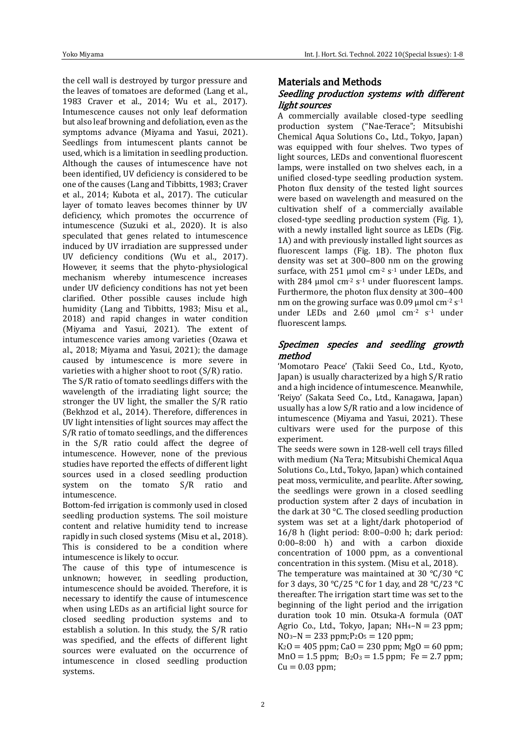the cell wall is destroyed by turgor pressure and the leaves of tomatoes are deformed (Lang et al., 1983 Craver et al., 2014; Wu et al., 2017). Intumescence causes not only leaf deformation but also leaf browning and defoliation, even as the symptoms advance (Miyama and Yasui, 2021). Seedlings from intumescent plants cannot be used, which is a limitation in seedling production. Although the causes of intumescence have not been identified, UV deficiency is considered to be one of the causes (Lang and Tibbitts, 1983; Craver et al., 2014; Kubota et al., 2017). The cuticular layer of tomato leaves becomes thinner by UV deficiency, which promotes the occurrence of intumescence (Suzuki et al., 2020). It is also speculated that genes related to intumescence induced by UV irradiation are suppressed under UV deficiency conditions (Wu et al., 2017). However, it seems that the phyto-physiological mechanism whereby intumescence increases under UV deficiency conditions has not yet been clarified. Other possible causes include high humidity (Lang and Tibbitts, 1983; Misu et al., 2018) and rapid changes in water condition (Miyama and Yasui, 2021). The extent of intumescence varies among varieties (Ozawa et al., 2018; Miyama and Yasui, 2021); the damage caused by intumescence is more severe in varieties with a higher shoot to root (S/R) ratio.

The S/R ratio of tomato seedlings differs with the wavelength of the irradiating light source; the stronger the UV light, the smaller the S/R ratio (Bekhzod et al., 2014). Therefore, differences in UV light intensities of light sources may affect the S/R ratio of tomato seedlings, and the differences in the S/R ratio could affect the degree of intumescence. However, none of the previous studies have reported the effects of different light sources used in a closed seedling production system on the tomato S/R ratio and intumescence.

Bottom-fed irrigation is commonly used in closed seedling production systems. The soil moisture content and relative humidity tend to increase rapidly in such closed systems (Misu et al., 2018). This is considered to be a condition where intumescence is likely to occur.

The cause of this type of intumescence is unknown: however, in seedling production, intumescence should be avoided. Therefore, it is necessary to identify the cause of intumescence when using LEDs as an artificial light source for closed seedling production systems and to establish a solution. In this study, the S/R ratio was specified, and the effects of different light sources were evaluated on the occurrence of intumescence in closed seedling production systems.

# Materials and Methods

# Seedling production systems with different light sources

A commercially available closed-type seedling production system ("Nae-Terace"; Mitsubishi Chemical Aqua Solutions Co., Ltd., Tokyo, Japan) was equipped with four shelves. Two types of light sources, LEDs and conventional fluorescent lamps, were installed on two shelves each, in a unified closed-type seedling production system. Photon flux density of the tested light sources were based on wavelength and measured on the cultivation shelf of a commercially available closed-type seedling production system (Fig. 1), with a newly installed light source as LEDs (Fig. 1A) and with previously installed light sources as fluorescent lamps (Fig. 1B). The photon flux density was set at 300–800 nm on the growing surface, with 251 µmol  $cm<sup>-2</sup>$  s<sup>-1</sup> under LEDs, and with 284  $\mu$ mol cm<sup>-2</sup> s<sup>-1</sup> under fluorescent lamps. Furthermore, the photon flux density at 300–400 nm on the growing surface was  $0.09$  µmol cm<sup>-2</sup> s<sup>-1</sup> under LEDs and 2.60  $\mu$ mol cm<sup>-2</sup> s<sup>-1</sup> under fluorescent lamps.

# Specimen species and seedling growth method

'Momotaro Peace' (Takii Seed Co., Ltd., Kyoto, Japan) is usually characterized by a high S/R ratio and a high incidence of intumescence. Meanwhile, 'Reiyo' (Sakata Seed Co., Ltd., Kanagawa, Japan) usually has a low S/R ratio and a low incidence of intumescence (Miyama and Yasui, 2021). These cultivars were used for the purpose of this experiment.

The seeds were sown in 128-well cell trays filled with medium (Na Tera; Mitsubishi Chemical Aqua Solutions Co., Ltd., Tokyo, Japan) which contained peat moss, vermiculite, and pearlite. After sowing, the seedlings were grown in a closed seedling production system after 2 days of incubation in the dark at 30 °C. The closed seedling production system was set at a light/dark photoperiod of 16/8 h (light period: 8:00–0:00 h; dark period: 0:00–8:00 h) and with a carbon dioxide concentration of 1000 ppm, as a conventional concentration in this system. (Misu et al., 2018).

The temperature was maintained at 30 °C/30 °C for 3 days, 30 °C/25 °C for 1 day, and 28 °C/23 °C thereafter. The irrigation start time was set to the beginning of the light period and the irrigation duration took 10 min. Otsuka-A formula (OAT Agrio Co., Ltd., Tokyo, Japan;  $NH_4-N = 23$  ppm;  $NO<sub>3</sub>–N = 233 ppm; P<sub>2</sub>O<sub>5</sub> = 120 ppm;$ 

 $K_2O = 405$  ppm; Ca $O = 230$  ppm; Mg $O = 60$  ppm;  $MnO = 1.5$  ppm;  $B_2O_3 = 1.5$  ppm;  $Fe = 2.7$  ppm;  $Cu = 0.03$  ppm;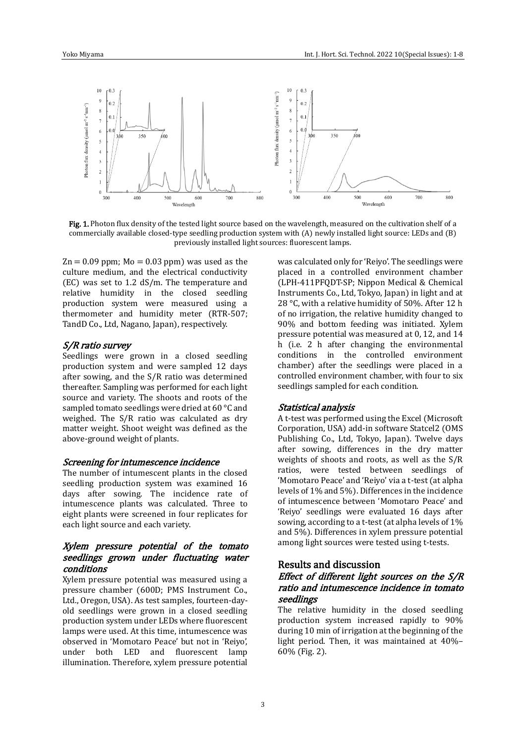

Fig. 1. Photon flux density of the tested light source based on the wavelength, measured on the cultivation shelf of a commercially available closed-type seedling production system with (A) newly installed light source: LEDs and (B) previously installed light sources: fluorescent lamps.

 $Zn = 0.09$  ppm;  $Mo = 0.03$  ppm) was used as the culture medium, and the electrical conductivity (EC) was set to 1.2 dS/m. The temperature and relative humidity in the closed seedling production system were measured using a thermometer and humidity meter (RTR-507; TandD Co., Ltd, Nagano, Japan), respectively.

#### S/R ratio survey

Seedlings were grown in a closed seedling production system and were sampled 12 days after sowing, and the S/R ratio was determined thereafter. Sampling was performed for each light source and variety. The shoots and roots of the sampled tomato seedlings were dried at 60 °C and weighed. The S/R ratio was calculated as dry matter weight. Shoot weight was defined as the above-ground weight of plants.

#### Screening for intumescence incidence

The number of intumescent plants in the closed seedling production system was examined 16 days after sowing. The incidence rate of intumescence plants was calculated. Three to eight plants were screened in four replicates for each light source and each variety.

# Xylem pressure potential of the tomato seedlings grown under fluctuating water conditions

Xylem pressure potential was measured using a pressure chamber (600D; PMS Instrument Co., Ltd., Oregon, USA). As test samples, fourteen-dayold seedlings were grown in a closed seedling production system under LEDs where fluorescent lamps were used. At this time, intumescence was observed in 'Momotaro Peace' but not in 'Reiyo', under both LED and fluorescent lamp illumination. Therefore, xylem pressure potential was calculated only for 'Reiyo'. The seedlings were placed in a controlled environment chamber (LPH-411PFQDT-SP; Nippon Medical & Chemical Instruments Co., Ltd, Tokyo, Japan) in light and at 28 °C, with a relative humidity of 50%. After 12 h of no irrigation, the relative humidity changed to 90% and bottom feeding was initiated. Xylem pressure potential was measured at 0, 12, and 14 h (i.e. 2 h after changing the environmental conditions in the controlled environment chamber) after the seedlings were placed in a controlled environment chamber, with four to six seedlings sampled for each condition.

#### Statistical analysis

A t-test was performed using the Excel (Microsoft Corporation, USA) add-in software Statcel2 (OMS Publishing Co., Ltd, Tokyo, Japan). Twelve days after sowing, differences in the dry matter weights of shoots and roots, as well as the S/R ratios, were tested between seedlings of 'Momotaro Peace' and 'Reiyo' via a t-test (at alpha levels of 1% and 5%). Differences in the incidence of intumescence between 'Momotaro Peace' and 'Reiyo' seedlings were evaluated 16 days after sowing, according to a t-test (at alpha levels of 1% and 5%). Differences in xylem pressure potential among light sources were tested using t-tests.

# Results and discussion

# Effect of different light sources on the S/R ratio and intumescence incidence in tomato seedlings

The relative humidity in the closed seedling production system increased rapidly to 90% during 10 min of irrigation at the beginning of the light period. Then, it was maintained at 40%– 60% (Fig. 2).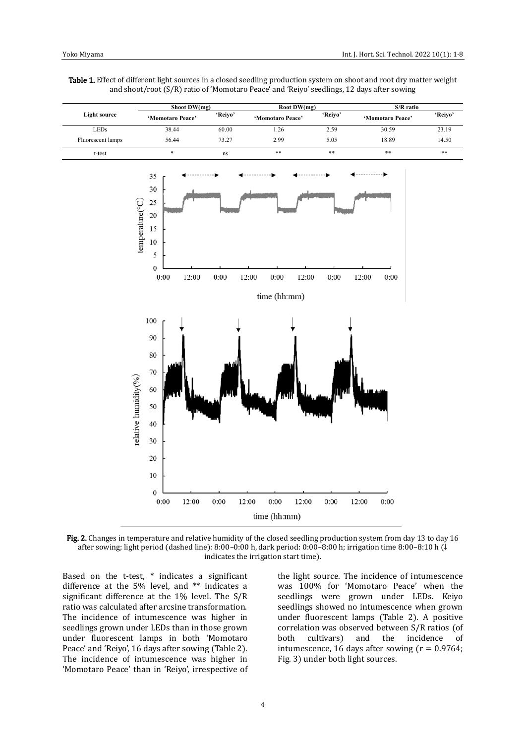Table 1. Effect of different light sources in a closed seedling production system on shoot and root dry matter weight and shoot/root (S/R) ratio of 'Momotaro Peace' and 'Reiyo' seedlings, 12 days after sowing



Fig. 2. Changes in temperature and relative humidity of the closed seedling production system from day 13 to day 16 after sowing; light period (dashed line): 8:00–0:00 h, dark period: 0:00–8:00 h; irrigation time 8:00–8:10 h (↓ indicates the irrigation start time).

Based on the t-test, \* indicates a significant difference at the 5% level, and \*\* indicates a significant difference at the 1% level. The S/R ratio was calculated after arcsine transformation. The incidence of intumescence was higher in seedlings grown under LEDs than in those grown under fluorescent lamps in both 'Momotaro Peace' and 'Reiyo', 16 days after sowing (Table 2). The incidence of intumescence was higher in 'Momotaro Peace' than in 'Reiyo', irrespective of the light source. The incidence of intumescence was 100% for 'Momotaro Peace' when the seedlings were grown under LEDs. Keiyo seedlings showed no intumescence when grown under fluorescent lamps (Table 2). A positive correlation was observed between S/R ratios (of both cultivars) and the incidence of intumescence, 16 days after sowing  $(r = 0.9764;$ Fig. 3) under both light sources.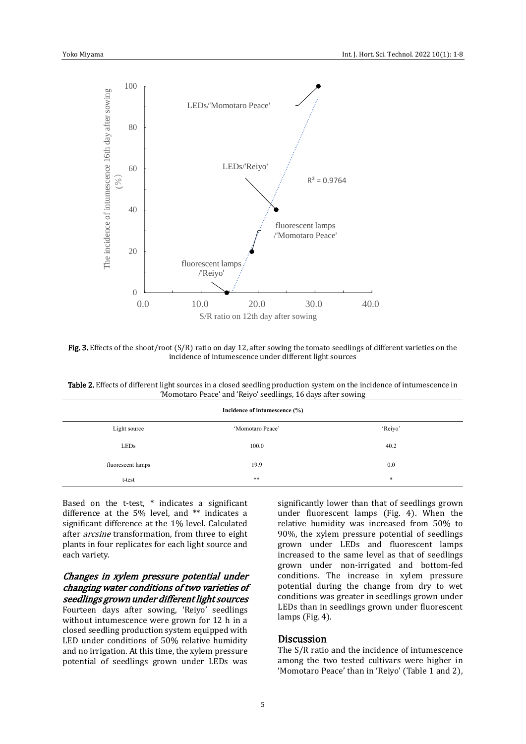

Fig. 3. Effects of the shoot/root  $(S/R)$  ratio on day 12, after sowing the tomato seedlings of different varieties on the incidence of intumescence under different light sources

Table 2. Effects of different light sources in a closed seedling production system on the incidence of intumescence in 'Momotaro Peace' and 'Reiyo' seedlings, 16 days after sowing

| Incidence of intumescence (%) |                  |         |
|-------------------------------|------------------|---------|
| Light source                  | 'Momotaro Peace' | 'Reiyo' |
| <b>LEDs</b>                   | 100.0            | 40.2    |
| fluorescent lamps             | 19.9             | 0.0     |
| t-test                        | $***$            | *       |

Based on the t-test, \* indicates a significant difference at the 5% level, and \*\* indicates a significant difference at the 1% level. Calculated after arcsine transformation, from three to eight plants in four replicates for each light source and each variety.

### Changes in xylem pressure potential under changing water conditions of two varieties of seedlings grown under different light sources

Fourteen days after sowing, 'Reiyo' seedlings without intumescence were grown for 12 h in a closed seedling production system equipped with LED under conditions of 50% relative humidity and no irrigation. At this time, the xylem pressure potential of seedlings grown under LEDs was significantly lower than that of seedlings grown under fluorescent lamps (Fig. 4). When the relative humidity was increased from 50% to 90%, the xylem pressure potential of seedlings grown under LEDs and fluorescent lamps increased to the same level as that of seedlings grown under non-irrigated and bottom-fed conditions. The increase in xylem pressure potential during the change from dry to wet conditions was greater in seedlings grown under LEDs than in seedlings grown under fluorescent lamps (Fig. 4).

# **Discussion**

The S/R ratio and the incidence of intumescence among the two tested cultivars were higher in 'Momotaro Peace' than in 'Reiyo' (Table 1 and 2),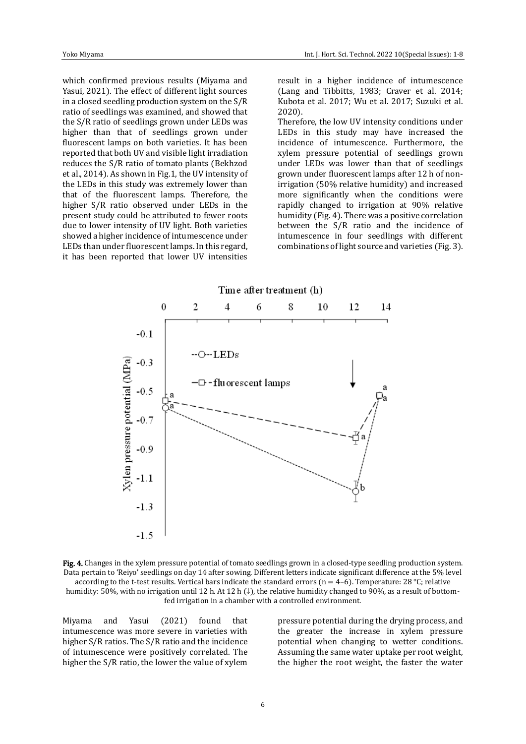which confirmed previous results (Miyama and Yasui, 2021). The effect of different light sources in a closed seedling production system on the S/R ratio of seedlings was examined, and showed that the S/R ratio of seedlings grown under LEDs was higher than that of seedlings grown under fluorescent lamps on both varieties. It has been reported that both UV and visible light irradiation reduces the S/R ratio of tomato plants (Bekhzod et al., 2014). As shown in Fig.1, the UV intensity of the LEDs in this study was extremely lower than that of the fluorescent lamps. Therefore, the higher S/R ratio observed under LEDs in the present study could be attributed to fewer roots due to lower intensity of UV light. Both varieties showed a higher incidence of intumescence under LEDs than under fluorescent lamps. In this regard, it has been reported that lower UV intensities result in a higher incidence of intumescence (Lang and Tibbitts, 1983; Craver et al. 2014; Kubota et al. 2017; Wu et al. 2017; Suzuki et al. 2020).

Therefore, the low UV intensity conditions under LEDs in this study may have increased the incidence of intumescence. Furthermore, the xylem pressure potential of seedlings grown under LEDs was lower than that of seedlings grown under fluorescent lamps after 12 h of nonirrigation (50% relative humidity) and increased more significantly when the conditions were rapidly changed to irrigation at 90% relative humidity (Fig. 4). There was a positive correlation between the S/R ratio and the incidence of intumescence in four seedlings with different combinations of light source and varieties (Fig. 3).



Fig. 4. Changes in the xylem pressure potential of tomato seedlings grown in a closed-type seedling production system. Data pertain to 'Reiyo' seedlings on day 14 after sowing. Different letters indicate significant difference at the 5% level according to the t-test results. Vertical bars indicate the standard errors ( $n = 4-6$ ). Temperature: 28 °C; relative humidity: 50%, with no irrigation until 12 h. At 12 h (↓), the relative humidity changed to 90%, as a result of bottomfed irrigation in a chamber with a controlled environment.

Miyama and Yasui (2021) found that intumescence was more severe in varieties with higher S/R ratios. The S/R ratio and the incidence of intumescence were positively correlated. The higher the S/R ratio, the lower the value of xylem pressure potential during the drying process, and the greater the increase in xylem pressure potential when changing to wetter conditions. Assuming the same water uptake per root weight, the higher the root weight, the faster the water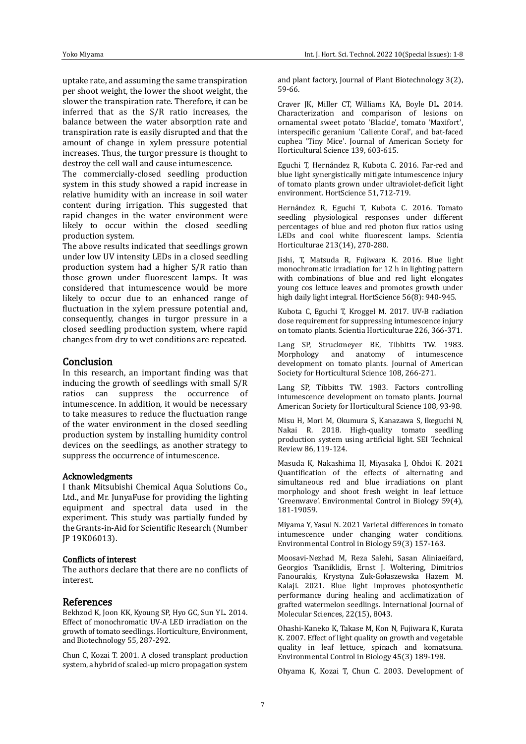uptake rate, and assuming the same transpiration per shoot weight, the lower the shoot weight, the slower the transpiration rate. Therefore, it can be inferred that as the S/R ratio increases, the balance between the water absorption rate and transpiration rate is easily disrupted and that the amount of change in xylem pressure potential increases. Thus, the turgor pressure is thought to destroy the cell wall and cause intumescence.

The commercially-closed seedling production system in this study showed a rapid increase in relative humidity with an increase in soil water content during irrigation. This suggested that rapid changes in the water environment were likely to occur within the closed seedling production system.

The above results indicated that seedlings grown under low UV intensity LEDs in a closed seedling production system had a higher S/R ratio than those grown under fluorescent lamps. It was considered that intumescence would be more likely to occur due to an enhanced range of fluctuation in the xylem pressure potential and, consequently, changes in turgor pressure in a closed seedling production system, where rapid changes from dry to wet conditions are repeated.

#### **Conclusion**

In this research, an important finding was that inducing the growth of seedlings with small S/R ratios can suppress the occurrence of intumescence. In addition, it would be necessary to take measures to reduce the fluctuation range of the water environment in the closed seedling production system by installing humidity control devices on the seedlings, as another strategy to suppress the occurrence of intumescence.

#### Acknowledgments

I thank Mitsubishi Chemical Aqua Solutions Co., Ltd., and Mr. JunyaFuse for providing the lighting equipment and spectral data used in the experiment. This study was partially funded by the Grants-in-Aid for Scientific Research (Number JP 19K06013).

# Conflicts of interest

The authors declare that there are no conflicts of interest.

#### References

Bekhzod K, Joon KK, Kyoung SP, Hyo GC, Sun YL. 2014. Effect of monochromatic UV-A LED irradiation on the growth of tomato seedlings. Horticulture, Environment, and Biotechnology 55, 287-292.

Chun C, Kozai T. 2001. A closed transplant production system, a hybrid of scaled-up micro propagation system and plant factory, Journal of Plant Biotechnology 3(2), 59-66.

Craver JK, Miller CT, Williams KA, Boyle DL. 2014. Characterization and comparison of lesions on ornamental sweet potato 'Blackie', tomato 'Maxifort', interspecific geranium 'Caliente Coral', and bat-faced cuphea 'Tiny Mice'. Journal of American Society for Horticultural Science 139, 603-615.

Eguchi T, Hernández R, Kubota C. 2016. Far-red and blue light synergistically mitigate intumescence injury of tomato plants grown under ultraviolet-deficit light environment. HortScience 51, 712-719.

Hernández R, Eguchi T, Kubota C. 2016. Tomato seedling physiological responses under different percentages of blue and red photon flux ratios using LEDs and cool white fluorescent lamps. Scientia Horticulturae 213(14), 270-280.

Jishi, T, Matsuda R, Fujiwara K. 2016. Blue light monochromatic irradiation for 12 h in lighting pattern with combinations of blue and red light elongates young cos lettuce leaves and promotes growth under high daily light integral. HortScience 56(8): 940-945.

Kubota C, Eguchi T, Kroggel M. 2017. UV-B radiation dose requirement for suppressing intumescence injury on tomato plants. Scientia Horticulturae 226, 366-371.

Lang SP, Struckmeyer BE, Tibbitts TW. 1983. Morphology and anatomy of intumescence development on tomato plants. Journal of American Society for Horticultural Science 108, 266-271.

Lang SP, Tibbitts TW. 1983. Factors controlling intumescence development on tomato plants. Journal American Society for Horticultural Science 108, 93-98.

Misu H, Mori M, Okumura S, Kanazawa S, Ikeguchi N, Nakai R. 2018. High-quality tomato seedling production system using artificial light. SEI Technical Review 86, 119-124.

Masuda K, Nakashima H, Miyasaka J, Ohdoi K. 2021 Quantification of the effects of alternating and simultaneous red and blue irradiations on plant morphology and shoot fresh weight in leaf lettuce 'Greenwave'. Environmental Control in Biology 59(4), 181-19059.

Miyama Y, Yasui N. 2021 Varietal differences in tomato intumescence under changing water conditions. Environmental Control in Biology 59(3) 157-163.

Moosavi-Nezhad M, Reza Salehi, Sasan Aliniaeifard, Georgios Tsaniklidis, Ernst J. Woltering, Dimitrios Fanourakis, Krystyna Zuk-Gołaszewska Hazem M. Kalaji. 2021. Blue light improves photosynthetic performance during healing and acclimatization of grafted watermelon seedlings. International Journal of Molecular Sciences, 22(15), 8043.

Ohashi-Kaneko K, Takase M, Kon N, Fujiwara K, Kurata K. 2007. Effect of light quality on growth and vegetable quality in leaf lettuce, spinach and komatsuna. Environmental Control in Biology 45(3) 189-198.

Ohyama K, Kozai T, Chun C. 2003. Development of